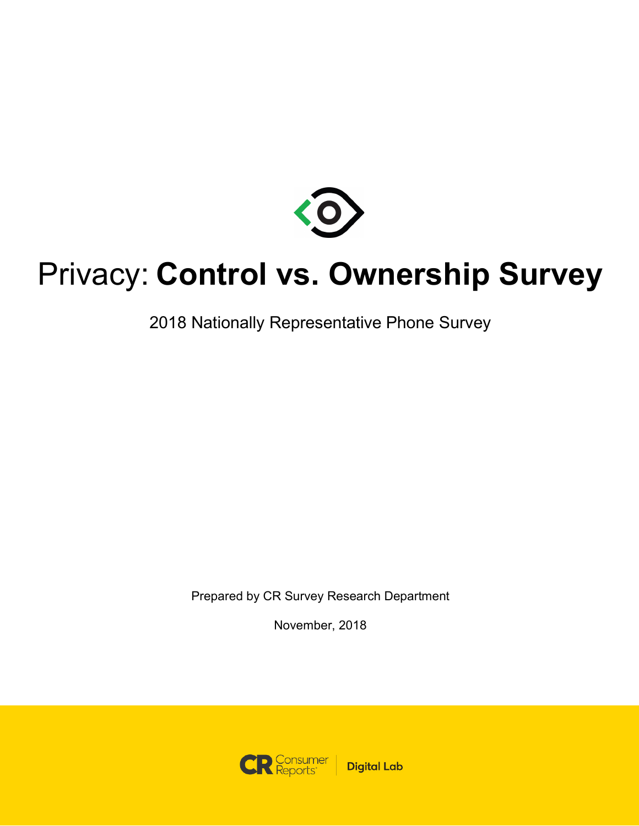

### Privacy: **Control vs. Ownership Survey**

2018 Nationally Representative Phone Survey

Prepared by CR Survey Research Department

November, 2018

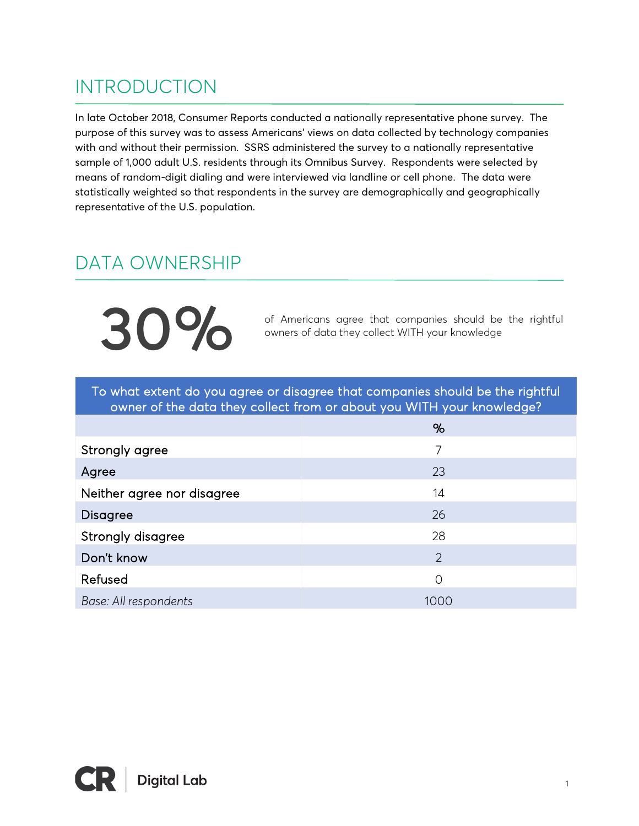### INTRODUCTION

In late October 2018, Consumer Reports conducted a nationally representative phone survey. The purpose of this survey was to assess Americans' views on data collected by technology companies with and without their permission. SSRS administered the survey to a nationally representative sample of 1,000 adult U.S. residents through its Omnibus Survey. Respondents were selected by means of random-digit dialing and were interviewed via landline or cell phone. The data were statistically weighted so that respondents in the survey are demographically and geographically representative of the U.S. population.

### DATA OWNERSHIP

30%

of Americans agree that companies should be the rightful owners of data they collect WITH your knowledge

To what extent do you agree or disagree that companies should be the rightful owner of the data they collect from or about you WITH your knowledge?

|                            | %    |
|----------------------------|------|
| Strongly agree             | 7    |
| Agree                      | 23   |
| Neither agree nor disagree | 14   |
| <b>Disagree</b>            | 26   |
| Strongly disagree          | 28   |
| Don't know                 | 2    |
| Refused                    | 0    |
| Base: All respondents      | 1000 |

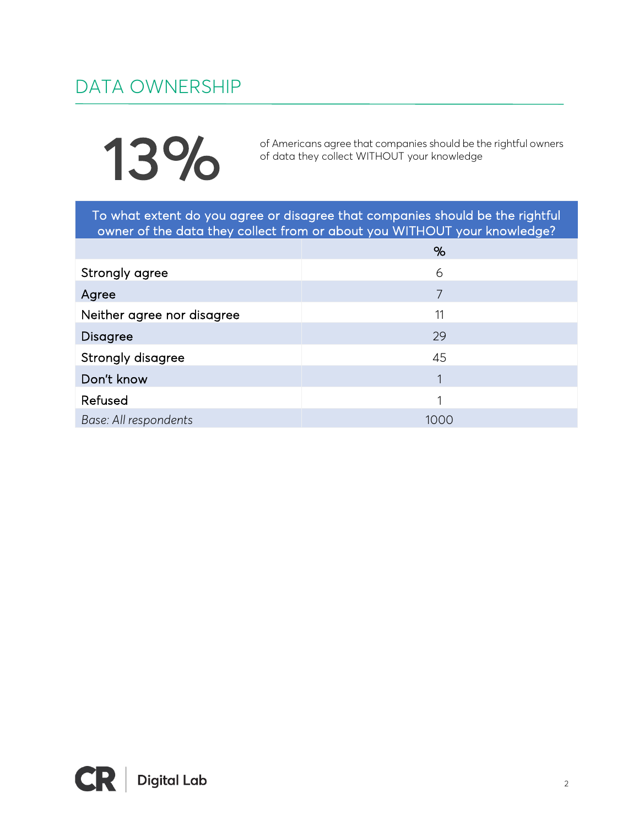### DATA OWNERSHIP

# 13%

of Americans agree that companies should be the rightful owners of data they collect WITHOUT your knowledge

To what extent do you agree or disagree that companies should be the rightful owner of the data they collect from or about you WITHOUT your knowledge?

|                            | %    |
|----------------------------|------|
| Strongly agree             | 6    |
| Agree                      | 7    |
| Neither agree nor disagree | 11   |
| <b>Disagree</b>            | 29   |
| Strongly disagree          | 45   |
| Don't know                 | 1    |
| Refused                    |      |
| Base: All respondents      | 1000 |

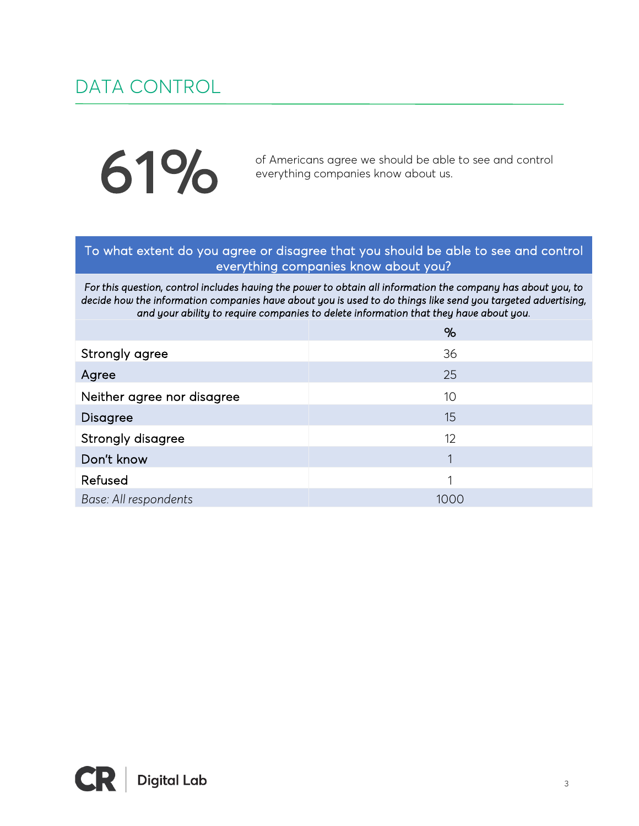#### DATA CONTROL

# 61%

of Americans agree we should be able to see and control everything companies know about us.

#### To what extent do you agree or disagree that you should be able to see and control everything companies know about you?

*For this question, control includes having the power to obtain all information the company has about you, to decide how the information companies have about you is used to do things like send you targeted advertising, and your ability to require companies to delete information that they have about you.* 

|                            | %           |
|----------------------------|-------------|
| Strongly agree             | 36          |
| Agree                      | 25          |
| Neither agree nor disagree | 10          |
| <b>Disagree</b>            | 15          |
| Strongly disagree          | 12          |
| Don't know                 | $\mathbf 1$ |
| Refused                    | 1           |
| Base: All respondents      | 1000        |